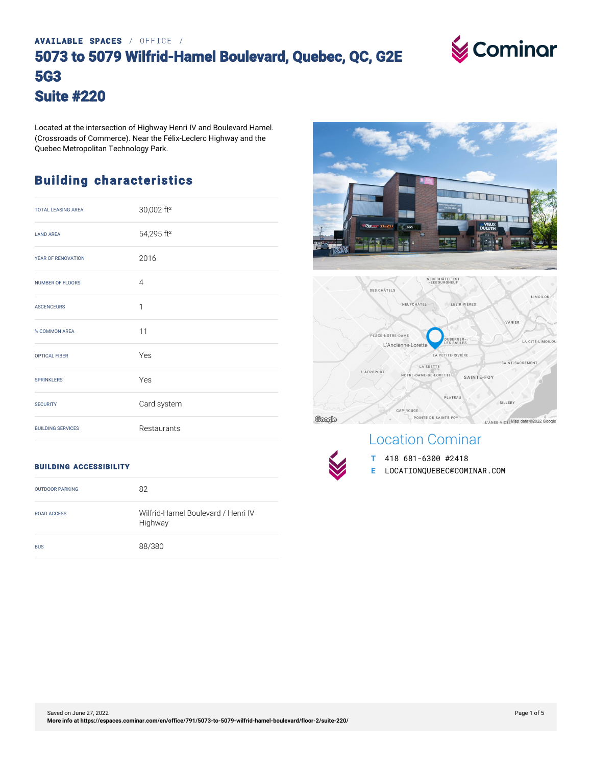# **AVAILABLE SPACES** / OFFICE / **5073 to 5079 Wilfrid-Hamel Boulevard, Quebec, QC, G2E 5G3 Suite #220**

**V** Cominar

Located at the intersection of Highway Henri IV and Boulevard Hamel. (Crossroads of Commerce). Near the Félix-Leclerc Highway and the Quebec Metropolitan Technology Park.

# **Building characteristics**

| <b>TOTAL LEASING AREA</b> | 30,002 ft <sup>2</sup> |
|---------------------------|------------------------|
| <b>LAND AREA</b>          | 54,295 ft <sup>2</sup> |
| YEAR OF RENOVATION        | 2016                   |
| <b>NUMBER OF FLOORS</b>   | $\overline{4}$         |
| <b>ASCENCEURS</b>         | $\mathbf{1}$           |
| % COMMON AREA             | 11                     |
| <b>OPTICAL FIBER</b>      | Yes                    |
| <b>SPRINKLERS</b>         | Yes                    |
| <b>SECURITY</b>           | Card system            |
| <b>BUILDING SERVICES</b>  | Restaurants            |

#### **BUILDING ACCESSIBILITY**

| <b>OUTDOOR PARKING</b> | 82                                            |
|------------------------|-----------------------------------------------|
| ROAD ACCESS            | Wilfrid-Hamel Boulevard / Henri IV<br>Highway |
| <b>BUS</b>             | 88/380                                        |





# Location Cominar



**T** 418 681-6300 #2418 **E** LOCATIONQUEBEC@COMINAR.COM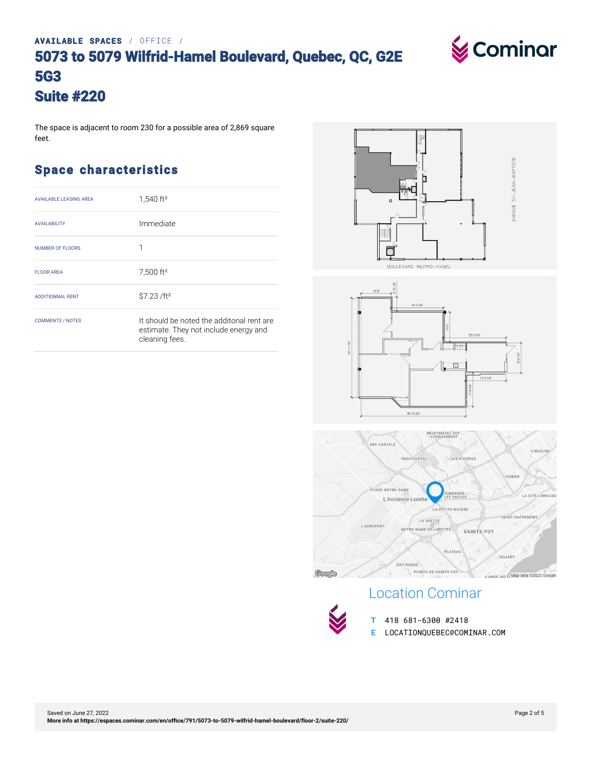# **AVAILABLE SPACES** / OFFICE / **5073 to 5079 Wilfrid-Hamel Boulevard, Quebec, QC, G2E 5G3 Suite #220**

The space is adjacent to room 230 for a possible area of 2,869 square feet.

### **Space characteristics**

| <b>AVAILABLE LEASING AREA</b> | $1,540$ ft <sup>2</sup>                                                                              |
|-------------------------------|------------------------------------------------------------------------------------------------------|
| <b>AVAILABILITY</b>           | Immediate                                                                                            |
| <b>NUMBER OF FLOORS</b>       | 1                                                                                                    |
| <b>FLOOR AREA</b>             | 7,500 ft <sup>2</sup>                                                                                |
| <b>ADDITIONNAL RENT</b>       | \$7.23 /ft <sup>2</sup>                                                                              |
| <b>COMMENTS / NOTES</b>       | It should be noted the additonal rent are<br>estimate. They not include energy and<br>cleaning fees. |







## Location Cominar



**T** 418 681-6300 #2418 **E** LOCATIONQUEBEC@COMINAR.COM

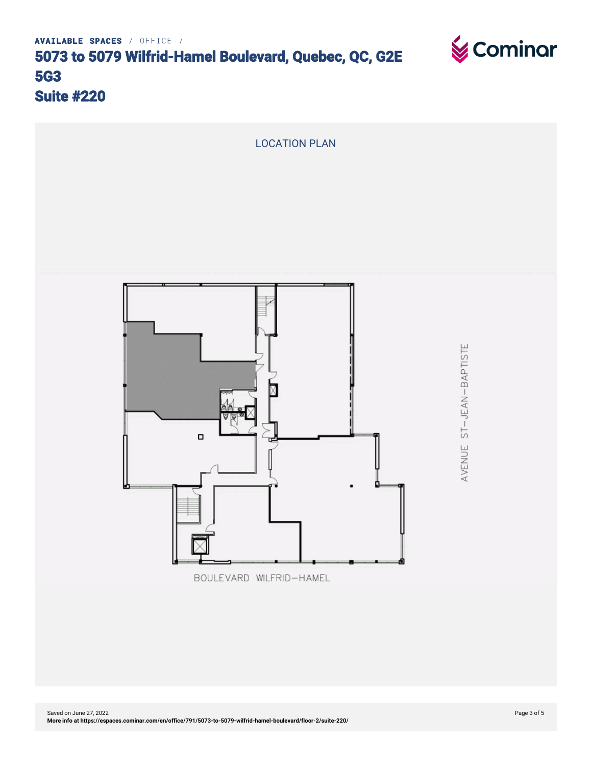



BOULEVARD WILFRID-HAMEL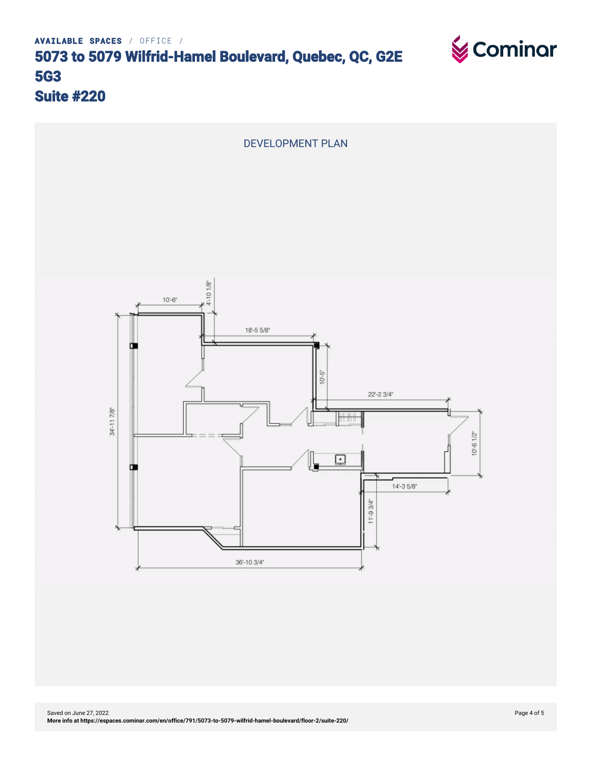